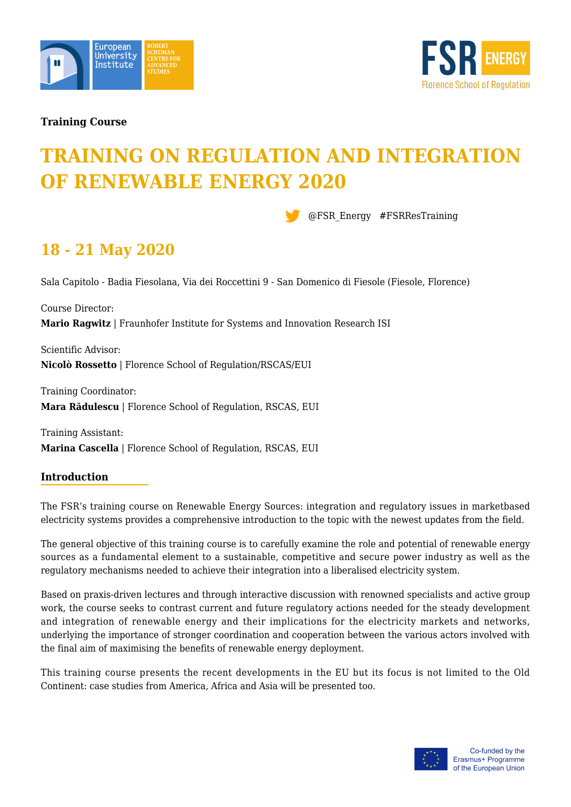



## **Training Course**

# **TRAINING ON REGULATION AND INTEGRATION OF RENEWABLE ENERGY 2020**

@FSR\_Energy #FSRResTraining

## **18 - 21 May 2020**

Sala Capitolo - Badia Fiesolana, Via dei Roccettini 9 - San Domenico di Fiesole (Fiesole, Florence)

Course Director: **Mario Ragwitz** | Fraunhofer Institute for Systems and Innovation Research ISI

Scientific Advisor: **Nicolò Rossetto** | Florence School of Regulation/RSCAS/EUI

Training Coordinator: **Mara Rădulescu** | Florence School of Regulation, RSCAS, EUI

Training Assistant: **Marina Cascella** | Florence School of Regulation, RSCAS, EUI

## **Introduction**

The FSR's training course on Renewable Energy Sources: integration and regulatory issues in marketbased electricity systems provides a comprehensive introduction to the topic with the newest updates from the field.

The general objective of this training course is to carefully examine the role and potential of renewable energy sources as a fundamental element to a sustainable, competitive and secure power industry as well as the regulatory mechanisms needed to achieve their integration into a liberalised electricity system.

Based on praxis-driven lectures and through interactive discussion with renowned specialists and active group work, the course seeks to contrast current and future regulatory actions needed for the steady development and integration of renewable energy and their implications for the electricity markets and networks, underlying the importance of stronger coordination and cooperation between the various actors involved with the final aim of maximising the benefits of renewable energy deployment.

This training course presents the recent developments in the EU but its focus is not limited to the Old Continent: case studies from America, Africa and Asia will be presented too.

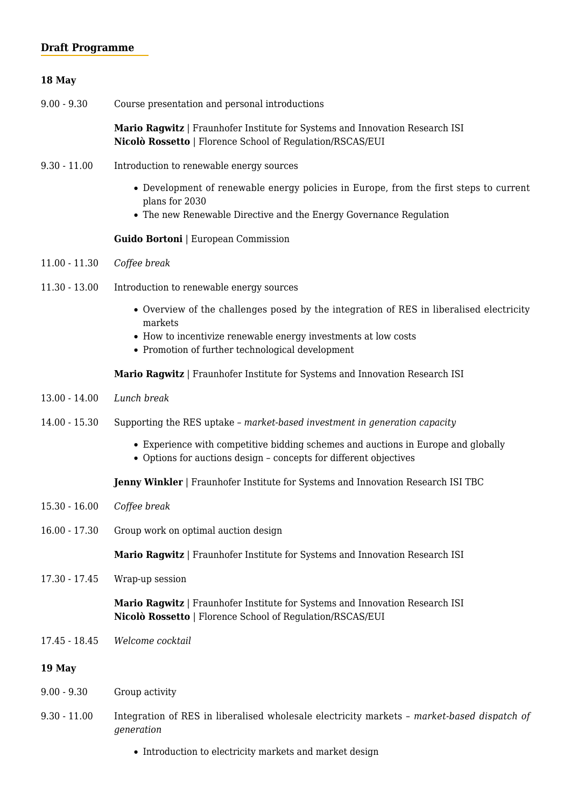## **Draft Programme**

## **18 May**  9.00 - 9.30 Course presentation and personal introductions **Mario Ragwitz** | Fraunhofer Institute for Systems and Innovation Research ISI **Nicolò Rossetto** | Florence School of Regulation/RSCAS/EUI 9.30 - 11.00 Introduction to renewable energy sources Development of renewable energy policies in Europe, from the first steps to current plans for 2030 The new Renewable Directive and the Energy Governance Regulation **Guido Bortoni** | European Commission 11.00 - 11.30 *Coffee break* 11.30 - 13.00 Introduction to renewable energy sources Overview of the challenges posed by the integration of RES in liberalised electricity markets • How to incentivize renewable energy investments at low costs • Promotion of further technological development **Mario Ragwitz** | Fraunhofer Institute for Systems and Innovation Research ISI 13.00 - 14.00 *Lunch break* 14.00 - 15.30 Supporting the RES uptake – *market-based investment in generation capacity* Experience with competitive bidding schemes and auctions in Europe and globally Options for auctions design – concepts for different objectives **Jenny Winkler** | Fraunhofer Institute for Systems and Innovation Research ISI TBC 15.30 - 16.00 *Coffee break* 16.00 - 17.30 Group work on optimal auction design **Mario Ragwitz** | Fraunhofer Institute for Systems and Innovation Research ISI

17.30 - 17.45 Wrap-up session

| Mario Ragwitz   Fraunhofer Institute for Systems and Innovation Research ISI |
|------------------------------------------------------------------------------|
| <b>Nicolò Rossetto</b>   Florence School of Regulation/RSCAS/EUI             |

17.45 - 18.45 *Welcome cocktail*

## **19 May**

- 9.00 9.30 Group activity
- 9.30 11.00 Integration of RES in liberalised wholesale electricity markets market-based dispatch of *generation*
	- Introduction to electricity markets and market design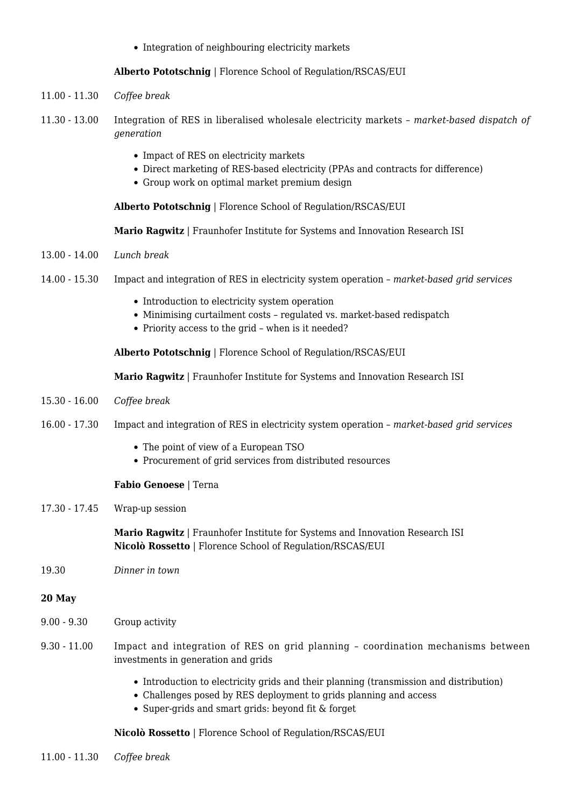• Integration of neighbouring electricity markets

#### **Alberto Pototschnig** | Florence School of Regulation/RSCAS/EUI

- 11.00 11.30 *Coffee break*
- 11.30 13.00 Integration of RES in liberalised wholesale electricity markets *market-based dispatch of generation*
	- Impact of RES on electricity markets
	- Direct marketing of RES-based electricity (PPAs and contracts for difference)
	- Group work on optimal market premium design

**Alberto Pototschnig** | Florence School of Regulation/RSCAS/EUI

**Mario Ragwitz** | Fraunhofer Institute for Systems and Innovation Research ISI

- 13.00 14.00 *Lunch break*
- 14.00 15.30 Impact and integration of RES in electricity system operation *market-based grid services*
	- Introduction to electricity system operation
	- Minimising curtailment costs regulated vs. market-based redispatch
	- Priority access to the grid when is it needed?

**Alberto Pototschnig** | Florence School of Regulation/RSCAS/EUI

**Mario Ragwitz** | Fraunhofer Institute for Systems and Innovation Research ISI

- 15.30 16.00 *Coffee break*
- 16.00 17.30 Impact and integration of RES in electricity system operation *market-based grid services*
	- The point of view of a European TSO
	- Procurement of grid services from distributed resources

#### **Fabio Genoese** | Terna

17.30 - 17.45 Wrap-up session

**Mario Ragwitz** | Fraunhofer Institute for Systems and Innovation Research ISI **Nicolò Rossetto** | Florence School of Regulation/RSCAS/EUI

19.30 *Dinner in town*

#### **20 May**

- 9.00 9.30 Group activity
- 9.30 11.00 Impact and integration of RES on grid planning coordination mechanisms between investments in generation and grids
	- Introduction to electricity grids and their planning (transmission and distribution)
	- Challenges posed by RES deployment to grids planning and access
	- Super-grids and smart grids: beyond fit & forget

**Nicolò Rossetto** | Florence School of Regulation/RSCAS/EUI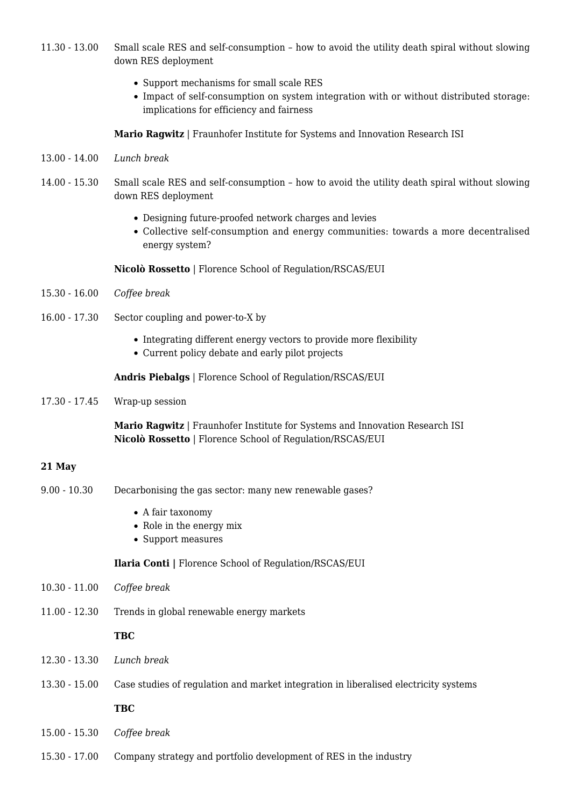- 11.30 13.00 Small scale RES and self-consumption how to avoid the utility death spiral without slowing down RES deployment
	- Support mechanisms for small scale RES
	- Impact of self-consumption on system integration with or without distributed storage: implications for efficiency and fairness

**Mario Ragwitz** | Fraunhofer Institute for Systems and Innovation Research ISI

- 13.00 14.00 *Lunch break*
- 14.00 15.30 Small scale RES and self-consumption how to avoid the utility death spiral without slowing down RES deployment
	- Designing future-proofed network charges and levies
	- Collective self-consumption and energy communities: towards a more decentralised energy system?

**Nicolò Rossetto** | Florence School of Regulation/RSCAS/EUI

- 15.30 16.00 *Coffee break*
- 16.00 17.30 Sector coupling and power-to-X by
	- Integrating different energy vectors to provide more flexibility
	- Current policy debate and early pilot projects

**Andris Piebalgs** | Florence School of Regulation/RSCAS/EUI

17.30 - 17.45 Wrap-up session

**Mario Ragwitz** | Fraunhofer Institute for Systems and Innovation Research ISI **Nicolò Rossetto** | Florence School of Regulation/RSCAS/EUI

#### **21 May**

- 9.00 10.30 Decarbonising the gas sector: many new renewable gases?
	- A fair taxonomy
	- Role in the energy mix
	- Support measures

**Ilaria Conti |** Florence School of Regulation/RSCAS/EUI

- 10.30 11.00 *Coffee break*
- 11.00 12.30 Trends in global renewable energy markets

#### **TBC**

- 12.30 13.30 *Lunch break*
- 13.30 15.00 Case studies of regulation and market integration in liberalised electricity systems

### **TBC**

- 15.00 15.30 *Coffee break*
- 15.30 17.00 Company strategy and portfolio development of RES in the industry